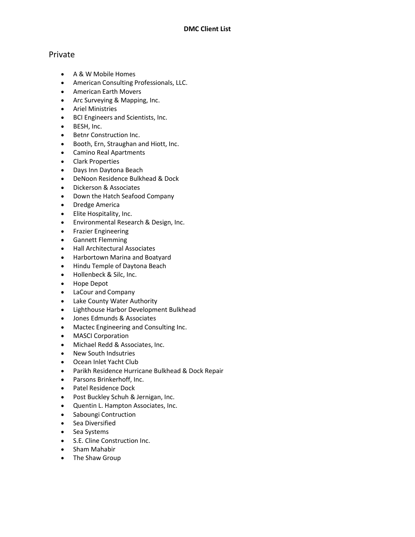## Private

- A & W Mobile Homes
- American Consulting Professionals, LLC.
- American Earth Movers
- Arc Surveying & Mapping, Inc.
- Ariel Ministries
- BCI Engineers and Scientists, Inc.
- BESH, Inc.
- Betnr Construction Inc.
- Booth, Ern, Straughan and Hiott, Inc.
- Camino Real Apartments
- Clark Properties
- Days Inn Daytona Beach
- DeNoon Residence Bulkhead & Dock
- Dickerson & Associates
- Down the Hatch Seafood Company
- Dredge America
- Elite Hospitality, Inc.
- Environmental Research & Design, Inc.
- **•** Frazier Engineering
- Gannett Flemming
- Hall Architectural Associates
- Harbortown Marina and Boatyard
- Hindu Temple of Daytona Beach
- Hollenbeck & Silc, Inc.
- Hope Depot
- LaCour and Company
- Lake County Water Authority
- Lighthouse Harbor Development Bulkhead
- Jones Edmunds & Associates
- Mactec Engineering and Consulting Inc.
- MASCI Corporation
- Michael Redd & Associates, Inc.
- New South Indsutries
- Ocean Inlet Yacht Club
- Parikh Residence Hurricane Bulkhead & Dock Repair
- Parsons Brinkerhoff, Inc.
- Patel Residence Dock
- Post Buckley Schuh & Jernigan, Inc.
- Quentin L. Hampton Associates, Inc.
- Saboungi Contruction
- Sea Diversified
- Sea Systems
- S.E. Cline Construction Inc.
- Sham Mahabir
- The Shaw Group